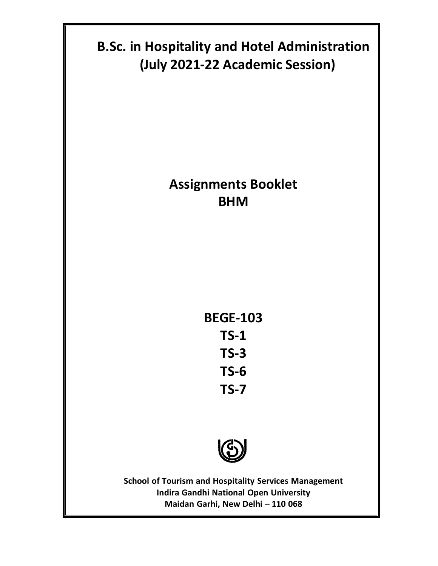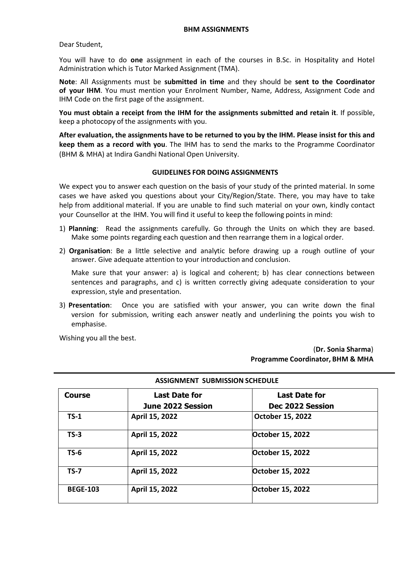Dear Student,

You will have to do **one** assignment in each of the courses in B.Sc. in Hospitality and Hotel Administration which is Tutor Marked Assignment (TMA).

**Note**: All Assignments must be **submitted in time** and they should be **sent to the Coordinator of your IHM**. You must mention your Enrolment Number, Name, Address, Assignment Code and IHM Code on the first page of the assignment.

**You must obtain a receipt from the IHM for the assignments submitted and retain it**. If possible, keep a photocopy of the assignments with you.

**After evaluation, the assignments have to be returned to you by the IHM. Please insist for this and keep them as a record with you**. The IHM has to send the marks to the Programme Coordinator (BHM & MHA) at Indira Gandhi National Open University.

### **GUIDELINES FOR DOING ASSIGNMENTS**

We expect you to answer each question on the basis of your study of the printed material. In some cases we have asked you questions about your City/Region/State. There, you may have to take help from additional material. If you are unable to find such material on your own, kindly contact your Counsellor at the IHM. You will find it useful to keep the following points in mind:

- 1) **Planning**: Read the assignments carefully. Go through the Units on which they are based. Make some points regarding each question and then rearrange them in a logical order.
- 2) **Organisation**: Be a little selective and analytic before drawing up a rough outline of your answer. Give adequate attention to your introduction and conclusion.

Make sure that your answer: a) is logical and coherent; b) has clear connections between sentences and paragraphs, and c) is written correctly giving adequate consideration to your expression, style and presentation.

3) **Presentation**: Once you are satisfied with your answer, you can write down the final version for submission, writing each answer neatly and underlining the points you wish to emphasise.

Wishing you all the best.

(**Dr. Sonia Sharma**) **Programme Coordinator, BHM & MHA**

| <b>ASSIGNMENT SUBMISSION SCHEDULE</b> |                                           |                                          |  |  |
|---------------------------------------|-------------------------------------------|------------------------------------------|--|--|
| <b>Course</b>                         | <b>Last Date for</b><br>June 2022 Session | <b>Last Date for</b><br>Dec 2022 Session |  |  |
| $TS-1$                                | April 15, 2022                            | <b>October 15, 2022</b>                  |  |  |
| $TS-3$                                | April 15, 2022                            | October 15, 2022                         |  |  |
| $TS-6$                                | April 15, 2022                            | October 15, 2022                         |  |  |
| $TS-7$                                | April 15, 2022                            | October 15, 2022                         |  |  |
| <b>BEGE-103</b>                       | April 15, 2022                            | October 15, 2022                         |  |  |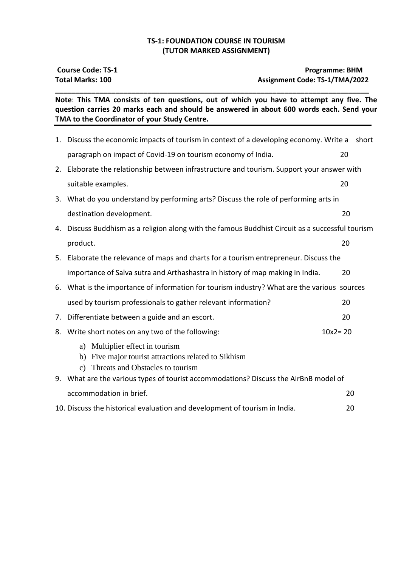# **TS-1: FOUNDATION COURSE IN TOURISM (TUTOR MARKED ASSIGNMENT)**

**Course Code: TS-1**<br> **Programme: BHM**<br> **Programme: BHM**<br> **Programme: BHM**<br> **Programme: BHM Total Marks: 100 Assignment Code: TS-1/TMA/2022**

**Note**: **This TMA consists of ten questions, out of which you have to attempt any five. The question carries 20 marks each and should be answered in about 600 words each. Send your TMA to the Coordinator of your Study Centre.**

**\_\_\_\_\_\_\_\_\_\_\_\_\_\_\_\_\_\_\_\_\_\_\_\_\_\_\_\_\_\_\_\_\_\_\_\_\_\_\_\_\_\_\_\_\_\_\_\_\_\_\_\_\_\_\_\_\_\_\_\_\_\_\_\_\_\_\_\_\_\_\_\_\_\_\_\_\_\_**

|    | 1. Discuss the economic impacts of tourism in context of a developing economy. Write a                                                            |                                                                                            | short |  |
|----|---------------------------------------------------------------------------------------------------------------------------------------------------|--------------------------------------------------------------------------------------------|-------|--|
|    | paragraph on impact of Covid-19 on tourism economy of India.                                                                                      | 20                                                                                         |       |  |
|    |                                                                                                                                                   | 2. Elaborate the relationship between infrastructure and tourism. Support your answer with |       |  |
|    | suitable examples.                                                                                                                                | 20                                                                                         |       |  |
|    | 3. What do you understand by performing arts? Discuss the role of performing arts in                                                              |                                                                                            |       |  |
|    | destination development.                                                                                                                          | 20                                                                                         |       |  |
| 4. | Discuss Buddhism as a religion along with the famous Buddhist Circuit as a successful tourism                                                     |                                                                                            |       |  |
|    | product.                                                                                                                                          | 20                                                                                         |       |  |
| 5. | Elaborate the relevance of maps and charts for a tourism entrepreneur. Discuss the                                                                |                                                                                            |       |  |
|    | importance of Salva sutra and Arthashastra in history of map making in India.                                                                     | 20                                                                                         |       |  |
| 6. | What is the importance of information for tourism industry? What are the various sources                                                          |                                                                                            |       |  |
|    | used by tourism professionals to gather relevant information?                                                                                     | 20                                                                                         |       |  |
| 7. | Differentiate between a guide and an escort.                                                                                                      | 20                                                                                         |       |  |
| 8. | $10x2 = 20$<br>Write short notes on any two of the following:                                                                                     |                                                                                            |       |  |
|    | Multiplier effect in tourism<br>a)<br>Five major tourist attractions related to Sikhism<br>b)<br>Threats and Obstacles to tourism<br>$\mathbf{c}$ |                                                                                            |       |  |
|    | 9. What are the various types of tourist accommodations? Discuss the AirBnB model of                                                              |                                                                                            |       |  |
|    | accommodation in brief.                                                                                                                           | 20                                                                                         |       |  |
|    | 10. Discuss the historical evaluation and development of tourism in India.                                                                        | 20                                                                                         |       |  |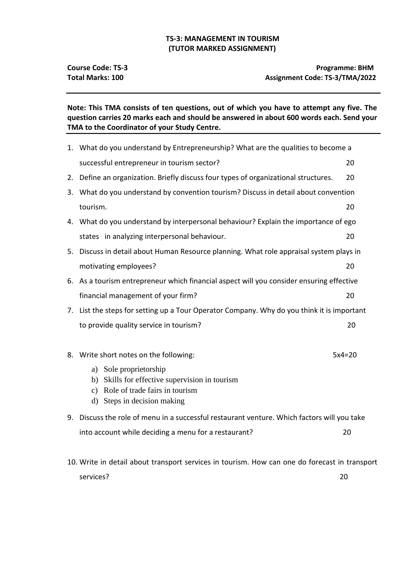### **TS-3: MANAGEMENT IN TOURISM (TUTOR MARKED ASSIGNMENT)**

**Note: This TMA consists of ten questions, out of which you have to attempt any five. The question carries 20 marks each and should be answered in about 600 words each. Send your TMA to the Coordinator of your Study Centre.**

|    | 1. What do you understand by Entrepreneurship? What are the qualities to become a          |                                                                                          |  |  |
|----|--------------------------------------------------------------------------------------------|------------------------------------------------------------------------------------------|--|--|
|    | successful entrepreneur in tourism sector?                                                 | 20                                                                                       |  |  |
| 2. | Define an organization. Briefly discuss four types of organizational structures.           | 20                                                                                       |  |  |
| 3. | What do you understand by convention tourism? Discuss in detail about convention           |                                                                                          |  |  |
|    | tourism.                                                                                   | 20                                                                                       |  |  |
|    | 4. What do you understand by interpersonal behaviour? Explain the importance of ego        |                                                                                          |  |  |
|    | states in analyzing interpersonal behaviour.                                               | 20                                                                                       |  |  |
| 5. | Discuss in detail about Human Resource planning. What role appraisal system plays in       |                                                                                          |  |  |
|    | motivating employees?                                                                      | 20                                                                                       |  |  |
|    |                                                                                            | 6. As a tourism entrepreneur which financial aspect will you consider ensuring effective |  |  |
|    | financial management of your firm?                                                         | 20                                                                                       |  |  |
|    | 7. List the steps for setting up a Tour Operator Company. Why do you think it is important |                                                                                          |  |  |
|    | to provide quality service in tourism?                                                     | 20                                                                                       |  |  |
|    |                                                                                            |                                                                                          |  |  |
|    | 8. Write short notes on the following:                                                     | $5x4=20$                                                                                 |  |  |
|    | Sole proprietorship<br>a)                                                                  |                                                                                          |  |  |
|    | Skills for effective supervision in tourism<br>b)                                          |                                                                                          |  |  |
|    | Role of trade fairs in tourism<br>$\mathbf{c}$ )                                           |                                                                                          |  |  |
|    | Steps in decision making<br>d)                                                             |                                                                                          |  |  |
| 9. | Discuss the role of menu in a successful restaurant venture. Which factors will you take   |                                                                                          |  |  |
|    | into account while deciding a menu for a restaurant?                                       | 20                                                                                       |  |  |
|    |                                                                                            |                                                                                          |  |  |

10. Write in detail about transport services in tourism. How can one do forecast in transport services? 20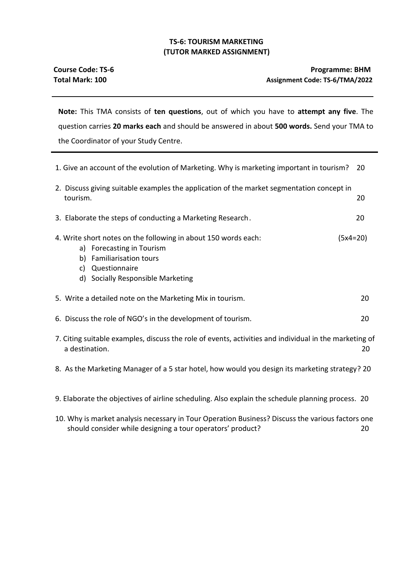## **TS-6: TOURISM MARKETING (TUTOR MARKED ASSIGNMENT)**

**Note:** This TMA consists of **ten questions**, out of which you have to **attempt any five**. The question carries **20 marks each** and should be answered in about **500 words.** Send your TMA to the Coordinator of your Study Centre.

| 1. Give an account of the evolution of Marketing. Why is marketing important in tourism?                                                                                                      |            |  |  |
|-----------------------------------------------------------------------------------------------------------------------------------------------------------------------------------------------|------------|--|--|
| 2. Discuss giving suitable examples the application of the market segmentation concept in<br>tourism.                                                                                         | 20         |  |  |
| 3. Elaborate the steps of conducting a Marketing Research.                                                                                                                                    | 20         |  |  |
| 4. Write short notes on the following in about 150 words each:<br>a) Forecasting in Tourism<br><b>Familiarisation tours</b><br>b)<br>Questionnaire<br>c)<br>d) Socially Responsible Marketing | $(5x4=20)$ |  |  |
| 5. Write a detailed note on the Marketing Mix in tourism.                                                                                                                                     | 20         |  |  |
| 6. Discuss the role of NGO's in the development of tourism.                                                                                                                                   | 20         |  |  |
| 7. Citing suitable examples, discuss the role of events, activities and individual in the marketing of<br>a destination.                                                                      | 20         |  |  |
| 8. As the Marketing Manager of a 5 star hotel, how would you design its marketing strategy? 20                                                                                                |            |  |  |
| 9. Elaborate the objectives of airline scheduling. Also explain the schedule planning process. 20                                                                                             |            |  |  |

10. Why is market analysis necessary in Tour Operation Business? Discuss the various factors one should consider while designing a tour operators' product? 20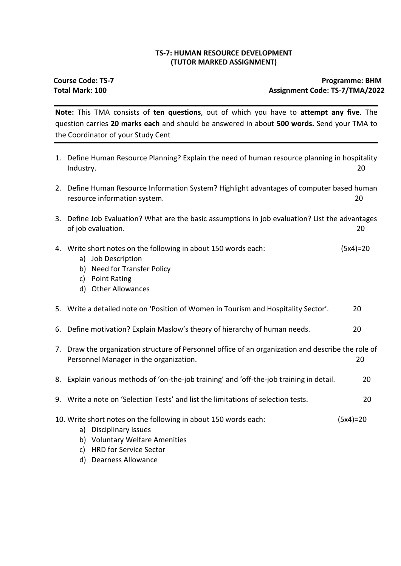### **TS-7: HUMAN RESOURCE DEVELOPMENT (TUTOR MARKED ASSIGNMENT)**

### **Course Code: TS-7 Programme: BHM** Total Mark: 100 **Assignment Code: TS-7/TMA/2022**

**Note:** This TMA consists of **ten questions**, out of which you have to **attempt any five**. The question carries **20 marks each** and should be answered in about **500 words.** Send your TMA to the Coordinator of your Study Cent

- 1. Define Human Resource Planning? Explain the need of human resource planning in hospitality Industry. 20
- 2. Define Human Resource Information System? Highlight advantages of computer based human resource information system. 20
- 3. Define Job Evaluation? What are the basic assumptions in job evaluation? List the advantages of job evaluation. 20
- 4. Write short notes on the following in about 150 words each: (5x4)=20
	- a) Job Description
	- b) Need for Transfer Policy
	- c) Point Rating
	- d) Other Allowances
- 5. Write a detailed note on 'Position of Women in Tourism and Hospitality Sector'. 20
- 6. Define motivation? Explain Maslow's theory of hierarchy of human needs. 20
- 7. Draw the organization structure of Personnel office of an organization and describe the role of Personnel Manager in the organization. 20
- 8. Explain various methods of 'on-the-job training' and 'off-the-job training in detail. 20
- 9. Write a note on 'Selection Tests' and list the limitations of selection tests. 20
- 10. Write short notes on the following in about 150 words each: (5x4)=20
	- a) Disciplinary Issues
	- b) Voluntary Welfare Amenities
	- c) HRD for Service Sector
	- d) Dearness Allowance